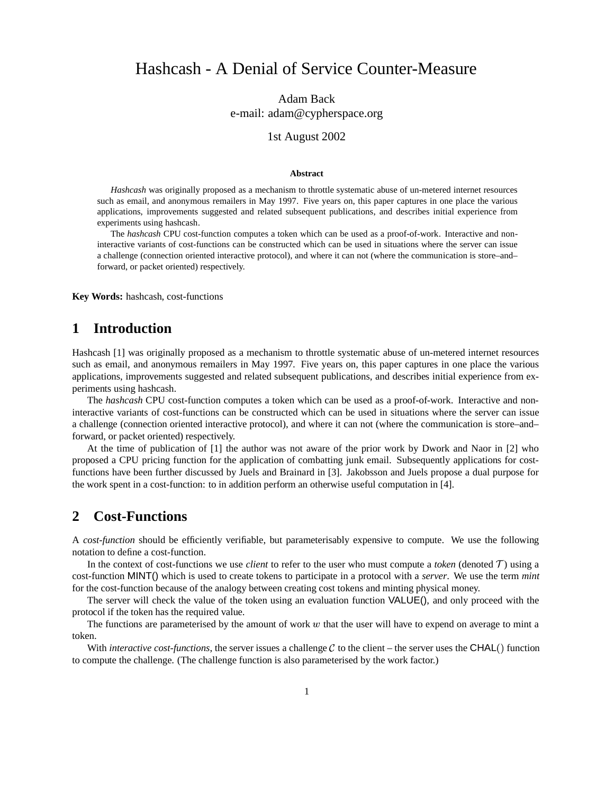# Hashcash - A Denial of Service Counter-Measure

Adam Back e-mail: adam@cypherspace.org

#### 1st August 2002

#### **Abstract**

*Hashcash* was originally proposed as a mechanism to throttle systematic abuse of un-metered internet resources such as email, and anonymous remailers in May 1997. Five years on, this paper captures in one place the various applications, improvements suggested and related subsequent publications, and describes initial experience from experiments using hashcash.

The *hashcash* CPU cost-function computes a token which can be used as a proof-of-work. Interactive and noninteractive variants of cost-functions can be constructed which can be used in situations where the server can issue a challenge (connection oriented interactive protocol), and where it can not (where the communication is store–and– forward, or packet oriented) respectively.

**Key Words:** hashcash, cost-functions

### **1 Introduction**

Hashcash [1] was originally proposed as a mechanism to throttle systematic abuse of un-metered internet resources such as email, and anonymous remailers in May 1997. Five years on, this paper captures in one place the various applications, improvements suggested and related subsequent publications, and describes initial experience from experiments using hashcash.

The *hashcash* CPU cost-function computes a token which can be used as a proof-of-work. Interactive and noninteractive variants of cost-functions can be constructed which can be used in situations where the server can issue a challenge (connection oriented interactive protocol), and where it can not (where the communication is store–and– forward, or packet oriented) respectively.

At the time of publication of [1] the author was not aware of the prior work by Dwork and Naor in [2] who proposed a CPU pricing function for the application of combatting junk email. Subsequently applications for costfunctions have been further discussed by Juels and Brainard in [3]. Jakobsson and Juels propose a dual purpose for the work spent in a cost-function: to in addition perform an otherwise useful computation in [4].

### **2 Cost-Functions**

A *cost-function* should be efficiently verifiable, but parameterisably expensive to compute. We use the following notation to define a cost-function.

In the context of cost-functions we use *client* to refer to the user who must compute a *token* (denoted  $T$ ) using a cost-function MINT() which is used to create tokens to participate in a protocol with a *server*. We use the term *mint* for the cost-function because of the analogy between creating cost tokens and minting physical money.

The server will check the value of the token using an evaluation function VALUE(), and only proceed with the protocol if the token has the required value.

The functions are parameterised by the amount of work  $w$  that the user will have to expend on average to mint a token.

With *interactive cost-functions*, the server issues a challenge  $C$  to the client – the server uses the CHAL() function to compute the challenge. (The challenge function is also parameterised by the work factor.)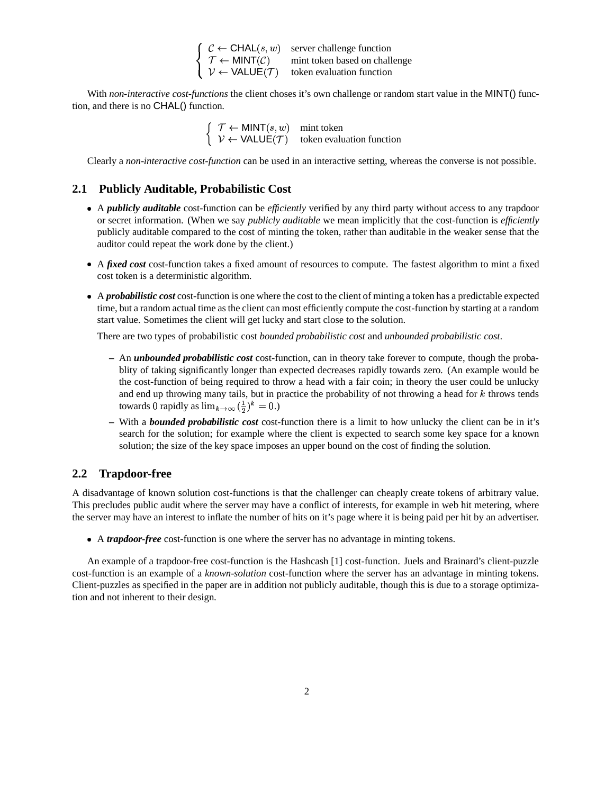| $\int C \leftarrow \text{CHAL}(s, w)$                             | server challenge function     |
|-------------------------------------------------------------------|-------------------------------|
| $\langle \mathcal{T} \leftarrow \text{MINT}(\mathcal{C}) \rangle$ | mint token based on challenge |
| $V \leftarrow \text{VALUE}(\mathcal{T})$                          | token evaluation function     |

With *non-interactive cost-functions* the client choses it's own challenge or random start value in the MINT() function, and there is no CHAL() function.

 $\begin{cases} \mathcal{T} \leftarrow \text{MINT}(s, w) & \text{mint token} \\ \mathcal{V} \leftarrow \text{VALUE}(\mathcal{T}) & \text{token evaluation function} \end{cases}$ 

Clearly a *non-interactive cost-function* can be used in an interactive setting, whereas the converse is not possible.

#### **2.1 Publicly Auditable, Probabilistic Cost**

- A *publicly auditable* cost-function can be *efficiently* verified by any third party without access to any trapdoor or secret information. (When we say *publicly auditable* we mean implicitly that the cost-function is *efficiently* publicly auditable compared to the cost of minting the token, rather than auditable in the weaker sense that the auditor could repeat the work done by the client.)
- A *fixed cost* cost-function takes a fixed amount of resources to compute. The fastest algorithm to mint a fixed cost token is a deterministic algorithm.
- A *probabilistic cost* cost-function is one where the cost to the client of minting a token has a predictable expected time, but a random actual time asthe client can most efficiently compute the cost-function by starting at a random start value. Sometimes the client will get lucky and start close to the solution.

There are two types of probabilistic cost *bounded probabilistic cost* and *unbounded probabilistic cost*.

- **–** An *unbounded probabilistic cost* cost-function, can in theory take forever to compute, though the probablity of taking significantly longer than expected decreases rapidly towards zero. (An example would be the cost-function of being required to throw a head with a fair coin; in theory the user could be unlucky and end up throwing many tails, but in practice the probability of not throwing a head for  $k$  throws tends towards 0 rapidly as  $\lim_{k\to\infty} (\frac{1}{2})^k = 0$ .)
- **–** With a *bounded probabilistic cost* cost-function there is a limit to how unlucky the client can be in it's search for the solution; for example where the client is expected to search some key space for a known solution; the size of the key space imposes an upper bound on the cost of finding the solution.

#### **2.2 Trapdoor-free**

A disadvantage of known solution cost-functions is that the challenger can cheaply create tokens of arbitrary value. This precludes public audit where the server may have a conflict of interests, for example in web hit metering, where the server may have an interest to inflate the number of hits on it's page where it is being paid per hit by an advertiser.

A *trapdoor-free* cost-function is one where the server has no advantage in minting tokens.

An example of a trapdoor-free cost-function is the Hashcash [1] cost-function. Juels and Brainard's client-puzzle cost-function is an example of a *known-solution* cost-function where the server has an advantage in minting tokens. Client-puzzles as specified in the paper are in addition not publicly auditable, though this is due to a storage optimization and not inherent to their design.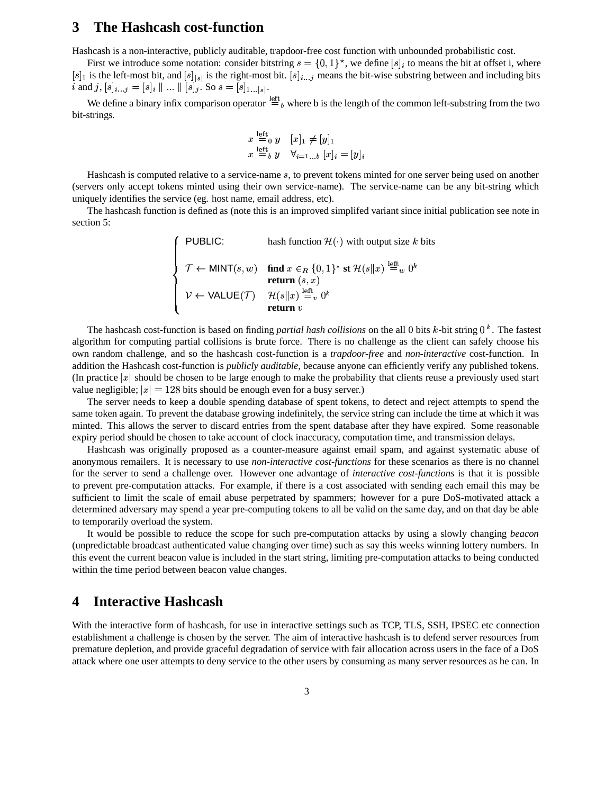### **3 The Hashcash cost-function**

Hashcash is a non-interactive, publicly auditable, trapdoor-free cost function with unbounded probabilistic cost.

First we introduce some notation: consider bitstring  $s = \{0, 1\}^*$ , we define  $[s]_i$  to means the bit at offset i, where  $[s]_1$  is the left-most bit, and  $[s]_{[s]}$  is the right-most bit.  $[s]_{i...j}$  means the bit-wise substring between and including bits i and  $j, [s]_{i...j} = [s]_i \parallel ... \parallel [s]_j$ . So  $s = [s]_{1...|s|}$ .

We define a binary infix comparison operator  $=^{\text{left}}_b$  where b is the length of the common left-substring from the two bit-strings.

$$
x \stackrel{\text{left}}{=} 0 \quad y \quad [x]_1 \neq [y]_1
$$
  

$$
x \stackrel{\text{left}}{=} \stackrel{y}{b} \quad y \quad \forall_{i=1...b} [x]_i = [y]_i
$$

Hashcash is computed relative to a service-name  $s$ , to prevent tokens minted for one server being used on another (servers only accept tokens minted using their own service-name). The service-name can be any bit-string which uniquely identifies the service (eg. host name, email address, etc).

The hashcash function is defined as (note this is an improved simplifed variant since initial publication see note in section 5:

\n
$$
\left\{\n\begin{array}{ll}\n\text{PUBLIC:} & \text{hash function } \mathcal{H}(\cdot) \text{ with output size } k \text{ bits} \\
\mathcal{T} \leftarrow \text{MINT}(s, w) & \text{find } x \in_R \{0, 1\}^\star \text{ st } \mathcal{H}(s||x) \stackrel{\text{left}}{=} w \text{ 0}^k \\
\text{return } (s, x) \\
\mathcal{V} \leftarrow \text{VALUE}(\mathcal{T}) & \mathcal{H}(s||x) \stackrel{\text{left}}{=} v \text{ 0}^k \\
\text{return } v\n\end{array}\n\right.
$$
\n

The hashcash cost-function is based on finding *partial hash collisions* on the all 0 bits k-bit string 0<sup>k</sup>. The fastest algorithm for computing partial collisions is brute force. There is no challenge as the client can safely choose his own random challenge, and so the hashcash cost-function is a *trapdoor-free* and *non-interactive* cost-function. In addition the Hashcash cost-function is *publicly auditable*, because anyone can efficiently verify any published tokens.<br>(In practice |x| should be chosen to be large enough to make the probability that clients reuse a pre (In practice  $|x|$  should be chosen to be large enough to make the probability that clients reuse a previously used start (In practice  $|x|$  should be chosen to be large enough to make the probabil value negligible;  $|x| = 128$  bits should be enough even for a busy server.)

The server needs to keep a double spending database of spent tokens, to detect and reject attempts to spend the same token again. To prevent the database growing indefinitely, the service string can include the time at which it was minted. This allows the server to discard entries from the spent database after they have expired. Some reasonable expiry period should be chosen to take account of clock inaccuracy, computation time, and transmission delays.

Hashcash was originally proposed as a counter-measure against email spam, and against systematic abuse of anonymous remailers. It is necessary to use *non-interactive cost-functions* for these scenarios as there is no channel for the server to send a challenge over. However one advantage of *interactive cost-functions* is that it is possible to prevent pre-computation attacks. For example, if there is a cost associated with sending each email this may be sufficient to limit the scale of email abuse perpetrated by spammers; however for a pure DoS-motivated attack a determined adversary may spend a year pre-computing tokens to all be valid on the same day, and on that day be able to temporarily overload the system.

It would be possible to reduce the scope for such pre-computation attacks by using a slowly changing *beacon* (unpredictable broadcast authenticated value changing over time) such as say this weeks winning lottery numbers. In this event the current beacon value is included in the start string, limiting pre-computation attacks to being conducted within the time period between beacon value changes.

### **4 Interactive Hashcash**

With the interactive form of hashcash, for use in interactive settings such as TCP, TLS, SSH, IPSEC etc connection establishment a challenge is chosen by the server. The aim of interactive hashcash is to defend server resources from premature depletion, and provide graceful degradation of service with fair allocation across users in the face of a DoS attack where one user attempts to deny service to the other users by consuming as many server resources as he can. In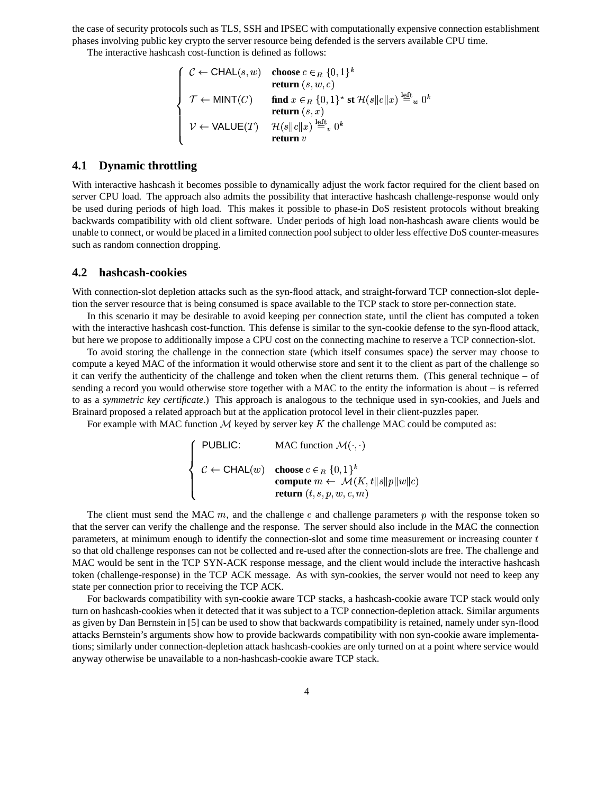the case of security protocols such as TLS, SSH and IPSEC with computationally expensive connection establishment phases involving public key crypto the server resource being defended is the servers available CPU time.

The interactive hashcash cost-function is defined as follows:<br>  $\int C \leftarrow \text{CHAL}(s, w)$  choose  $c \in_R \{0, 1\}^k$ 

**William Committee Street Service** 

$$
\begin{cases}\n\mathcal{C} \leftarrow \text{CHAL}(s, w) & \text{choose } c \in_R \{0, 1\}^k \\
\text{return } (s, w, c) \\
\mathcal{T} \leftarrow \text{MINT}(C) & \text{find } x \in_R \{0, 1\}^{\star} \text{ st } \mathcal{H}(s||c||x) \stackrel{\text{left}}{=} w \text{ } 0^k \\
\text{return } (s, x) \\
\mathcal{V} \leftarrow \text{VALUE}(T) & \mathcal{H}(s||c||x) \stackrel{\text{left}}{=} v \text{ } 0^k \\
\text{return } v\n\end{cases}
$$

#### **4.1 Dynamic throttling**

With interactive hashcash it becomes possible to dynamically adjust the work factor required for the client based on server CPU load. The approach also admits the possibility that interactive hashcash challenge-response would only be used during periods of high load. This makes it possible to phase-in DoS resistent protocols without breaking backwards compatibility with old client software. Under periods of high load non-hashcash aware clients would be unable to connect, or would be placed in a limited connection poolsubject to older less effective DoS counter-measures such as random connection dropping.

#### **4.2 hashcash-cookies**

With connection-slot depletion attacks such as the syn-flood attack, and straight-forward TCP connection-slot depletion the server resource that is being consumed is space available to the TCP stack to store per-connection state.

In this scenario it may be desirable to avoid keeping per connection state, until the client has computed a token with the interactive hashcash cost-function. This defense is similar to the syn-cookie defense to the syn-flood attack, but here we propose to additionally impose a CPU cost on the connecting machine to reserve a TCP connection-slot.

To avoid storing the challenge in the connection state (which itself consumes space) the server may choose to compute a keyed MAC of the information it would otherwise store and sent it to the client as part of the challenge so it can verify the authenticity of the challenge and token when the client returns them. (This general technique – of sending a record you would otherwise store together with a MAC to the entity the information is about – is referred to as a *symmetric key certificate*.) This approach is analogous to the technique used in syn-cookies, and Juels and Brainard proposed a related approach but at the application protocol level in their client-puzzles paper.

For example with MAC function  $M$  keyed by server key  $K$  the challenge MAC could be computed as:

$$
\left\{\begin{array}{ll}\n\text{PUBLIC:} & \text{MAC function } \mathcal{M}(\cdot, \cdot) \\
\mathcal{C} \leftarrow \text{CHAL}(w) & \text{choose } c \in_R \{0, 1\}^k \\
& \text{compute } m \leftarrow \mathcal{M}(K, t||s||p||w||c) \\
& \text{return } (t, s, p, w, c, m)\n\end{array}\right.
$$

The client must send the MAC  $m$ , and the challenge c and challenge parameters p with the response token so that the server can verify the challenge and the response. The server should also include in the MAC the connection parameters, at minimum enough to identify the connection-slot and some time measurement or increasing counter  $t$ so that old challenge responses can not be collected and re-used after the connection-slots are free. The challenge and MAC would be sent in the TCP SYN-ACK response message, and the client would include the interactive hashcash token (challenge-response) in the TCP ACK message. As with syn-cookies, the server would not need to keep any state per connection prior to receiving the TCP ACK.

For backwards compatibility with syn-cookie aware TCP stacks, a hashcash-cookie aware TCP stack would only turn on hashcash-cookies when it detected that it was subject to a TCP connection-depletion attack. Similar arguments as given by Dan Bernstein in [5] can be used to show that backwards compatibility is retained, namely under syn-flood attacks Bernstein's arguments show how to provide backwards compatibility with non syn-cookie aware implementations; similarly under connection-depletion attack hashcash-cookies are only turned on at a point where service would anyway otherwise be unavailable to a non-hashcash-cookie aware TCP stack.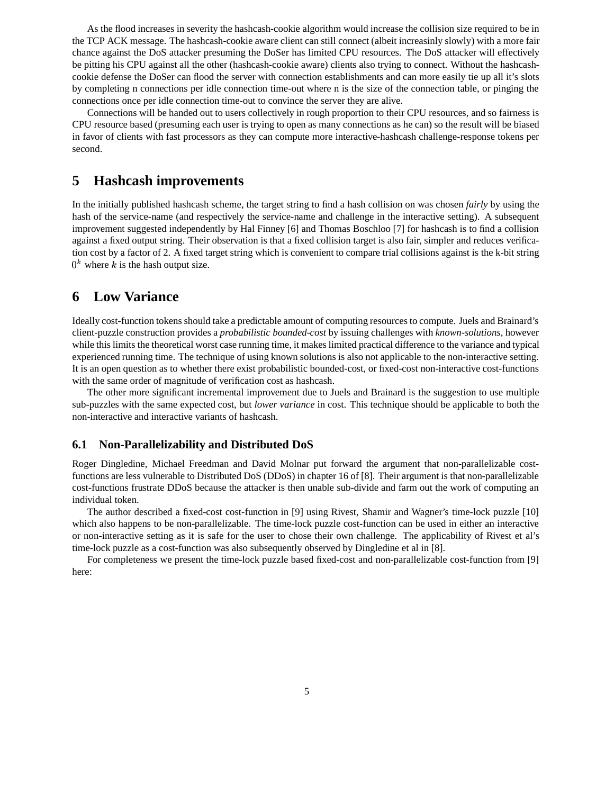As the flood increases in severity the hashcash-cookie algorithm would increase the collision size required to be in the TCP ACK message. The hashcash-cookie aware client can still connect (albeit increasinly slowly) with a more fair chance against the DoS attacker presuming the DoSer has limited CPU resources. The DoS attacker will effectively be pitting his CPU against all the other (hashcash-cookie aware) clients also trying to connect. Without the hashcashcookie defense the DoSer can flood the server with connection establishments and can more easily tie up all it's slots by completing n connections per idle connection time-out where n is the size of the connection table, or pinging the connections once per idle connection time-out to convince the server they are alive.

Connections will be handed out to users collectively in rough proportion to their CPU resources, and so fairness is CPU resource based (presuming each user is trying to open as many connections as he can) so the result will be biased in favor of clients with fast processors as they can compute more interactive-hashcash challenge-response tokens per second.

### **5 Hashcash improvements**

In the initially published hashcash scheme, the target string to find a hash collision on was chosen *fairly* by using the hash of the service-name (and respectively the service-name and challenge in the interactive setting). A subsequent improvement suggested independently by Hal Finney [6] and Thomas Boschloo [7] for hashcash is to find a collision against a fixed output string. Their observation is that a fixed collision target is also fair, simpler and reduces verification cost by a factor of 2. A fixed target string which is convenient to compare trial collisions against is the k-bit string  $0^k$  where k is the hash output size.

### **6 Low Variance**

Ideally cost-function tokensshould take a predictable amount of computing resourcesto compute. Juels and Brainard's client-puzzle construction provides a *probabilistic bounded-cost* by issuing challenges with *known-solutions*, however while this limits the theoretical worst case running time, it makes limited practical difference to the variance and typical experienced running time. The technique of using known solutions is also not applicable to the non-interactive setting. It is an open question as to whether there exist probabilistic bounded-cost, or fixed-cost non-interactive cost-functions with the same order of magnitude of verification cost as hashcash.

The other more significant incremental improvement due to Juels and Brainard is the suggestion to use multiple sub-puzzles with the same expected cost, but *lower variance* in cost. This technique should be applicable to both the non-interactive and interactive variants of hashcash.

#### **6.1 Non-Parallelizability and Distributed DoS**

Roger Dingledine, Michael Freedman and David Molnar put forward the argument that non-parallelizable costfunctions are less vulnerable to Distributed DoS (DDoS) in chapter 16 of [8]. Their argument is that non-parallelizable cost-functions frustrate DDoS because the attacker is then unable sub-divide and farm out the work of computing an individual token.

The author described a fixed-cost cost-function in [9] using Rivest, Shamir and Wagner's time-lock puzzle [10] which also happens to be non-parallelizable. The time-lock puzzle cost-function can be used in either an interactive or non-interactive setting as it is safe for the user to chose their own challenge. The applicability of Rivest et al's time-lock puzzle as a cost-function was also subsequently observed by Dingledine et al in [8].

For completeness we present the time-lock puzzle based fixed-cost and non-parallelizable cost-function from [9] here: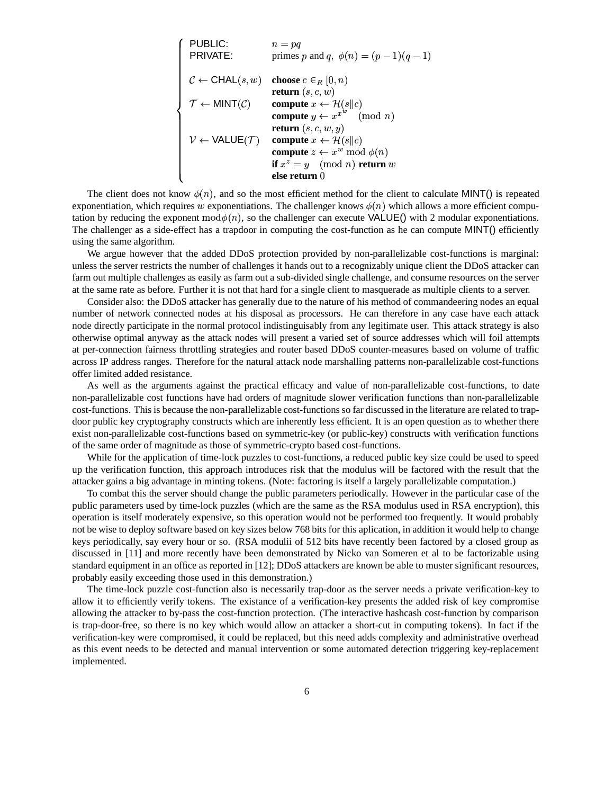| PUBLIC:                                     | \n $n = pq$ \n                              |
|---------------------------------------------|---------------------------------------------|
| PRIVATE:                                    | primes $p$ and $q, \phi(n) = (p-1)(q-1)$ \n |
| $C \leftarrow$ CHAL(s, w)                   | choose $c \in_R [0, n)$ \n                  |
| $T \leftarrow$ MINT( $C$ )                  | compute $x \leftarrow \mathcal{H}(s  c)$ \n |
| compute $y \leftarrow x^{x^w}$ (mod $n$ )\n |                                             |
| $V \leftarrow$ VALUE( $T$ )                 | compute $x \leftarrow \mathcal{H}(s  c)$ \n |
| compute $x \leftarrow \mathcal{H}(s  c)$    |                                             |
| compute $x \leftarrow \mathcal{H}(s  c)$    |                                             |
| compute $z \leftarrow x^w \mod \phi(n)$     |                                             |
| if $x^z = y \pmod{n}$ return $w$            |                                             |
| else return $0$                             |                                             |

The client does not know  $\phi(n)$ , and so the most efficient method for the client to calculate MINT() is repeated exponentiation, which requires w exponentiations. The challenger knows  $\phi(n)$  which allows a more efficient computation by reducing the exponent  $mod\phi(n)$ , so the challenger can execute VALUE() with 2 modular exponentiations. The challenger as a side-effect has a trapdoor in computing the cost-function as he can compute MINT() efficiently using the same algorithm.

We argue however that the added DDoS protection provided by non-parallelizable cost-functions is marginal: unless the server restricts the number of challenges it hands out to a recognizably unique client the DDoS attacker can farm out multiple challenges as easily as farm out a sub-divided single challenge, and consume resources on the server at the same rate as before. Further it is not that hard for a single client to masquerade as multiple clients to a server.

Consider also: the DDoS attacker has generally due to the nature of his method of commandeering nodes an equal number of network connected nodes at his disposal as processors. He can therefore in any case have each attack node directly participate in the normal protocol indistinguisably from any legitimate user. This attack strategy is also otherwise optimal anyway as the attack nodes will present a varied set of source addresses which will foil attempts at per-connection fairness throttling strategies and router based DDoS counter-measures based on volume of traffic across IP address ranges. Therefore for the natural attack node marshalling patterns non-parallelizable cost-functions offer limited added resistance.

As well as the arguments against the practical efficacy and value of non-parallelizable cost-functions, to date non-parallelizable cost functions have had orders of magnitude slower verification functions than non-parallelizable cost-functions. Thisis because the non-parallelizable cost-functionsso far discussed in the literature are related to trapdoor public key cryptography constructs which are inherently less efficient. It is an open question as to whether there exist non-parallelizable cost-functions based on symmetric-key (or public-key) constructs with verification functions of the same order of magnitude as those of symmetric-crypto based cost-functions.

While for the application of time-lock puzzles to cost-functions, a reduced public key size could be used to speed up the verification function, this approach introduces risk that the modulus will be factored with the result that the attacker gains a big advantage in minting tokens. (Note: factoring is itself a largely parallelizable computation.)

To combat this the server should change the public parameters periodically. However in the particular case of the public parameters used by time-lock puzzles (which are the same as the RSA modulus used in RSA encryption), this operation is itself moderately expensive, so this operation would not be performed too frequently. It would probably not be wise to deploy software based on key sizes below 768 bits for this aplication, in addition it would help to change keys periodically, say every hour or so. (RSA modulii of 512 bits have recently been factored by a closed group as discussed in [11] and more recently have been demonstrated by Nicko van Someren et al to be factorizable using standard equipment in an office as reported in [12]; DDoS attackers are known be able to muster significant resources, probably easily exceeding those used in this demonstration.)

The time-lock puzzle cost-function also is necessarily trap-door as the server needs a private verification-key to allow it to efficiently verify tokens. The existance of a verification-key presents the added risk of key compromise allowing the attacker to by-pass the cost-function protection. (The interactive hashcash cost-function by comparison is trap-door-free, so there is no key which would allow an attacker a short-cut in computing tokens). In fact if the verification-key were compromised, it could be replaced, but this need adds complexity and administrative overhead as this event needs to be detected and manual intervention or some automated detection triggering key-replacement implemented.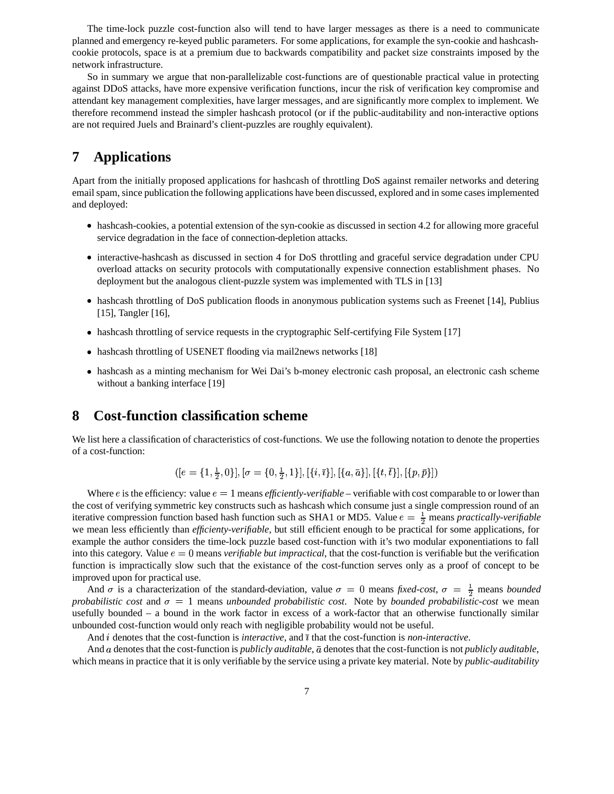The time-lock puzzle cost-function also will tend to have larger messages as there is a need to communicate planned and emergency re-keyed public parameters. For some applications, for example the syn-cookie and hashcashcookie protocols, space is at a premium due to backwards compatibility and packet size constraints imposed by the network infrastructure.

So in summary we argue that non-parallelizable cost-functions are of questionable practical value in protecting against DDoS attacks, have more expensive verification functions, incur the risk of verification key compromise and attendant key management complexities, have larger messages, and are significantly more complex to implement. We therefore recommend instead the simpler hashcash protocol (or if the public-auditability and non-interactive options are not required Juels and Brainard's client-puzzles are roughly equivalent).

## **7 Applications**

Apart from the initially proposed applications for hashcash of throttling DoS against remailer networks and detering email spam, since publication the following applications have been discussed, explored and in some cases implemented and deployed:

- hashcash-cookies, a potential extension of the syn-cookie as discussed in section 4.2 for allowing more graceful service degradation in the face of connection-depletion attacks.
- interactive-hashcash as discussed in section 4 for DoS throttling and graceful service degradation under CPU overload attacks on security protocols with computationally expensive connection establishment phases. No deployment but the analogous client-puzzle system was implemented with TLS in [13]
- hashcash throttling of DoS publication floods in anonymous publication systems such as Freenet [14], Publius [15], Tangler [16],
- hashcash throttling of service requests in the cryptographic Self-certifying File System [17]
- hashcash throttling of USENET flooding via mail2news networks [18]
- hashcash as a minting mechanism for Wei Dai's b-money electronic cash proposal, an electronic cash scheme without a banking interface [19]

### **8 Cost-function classification scheme**

We list here a classification of characteristics of cost-functions. We use the following notation to denote the properties of a cost-function:

 $\{e = \{1, \frac{1}{2}, 0\}, |\sigma = \{0, \frac{1}{2}, 1\}|, |\{i, \overline{i}\}|, |\{a, \overline{a}\}|, |\{t, t\}|, |\{p, \overline{p}\}| \}$ 

Where  $e$  is the efficiency: value  $e = 1$  means *efficiently-verifiable* – verifiable with cost comparable to or lower than the cost of verifying symmetric key constructs such as hashcash which consume just a single compression round of an iterative compression function based hash function such as SHA1 or MD5. Value  $e = \frac{1}{2}$  means *practically-verifiable* we mean less efficiently than *efficienty-verifiable*, but still efficient enough to be practical for some applications, for example the author considers the time-lock puzzle based cost-function with it's two modular exponentiations to fall into this category. Value  $e = 0$  means *verifiable but impractical*, that the cost-function is verifiable but the verification function is impractically slow such that the existance of the cost-function serves only as a proof of concept to be improved upon for practical use.

And  $\sigma$  is a characterization of the standard-deviation, value  $\sigma = 0$  means *fixed-cost*,  $\sigma = \frac{1}{2}$  means *bounded probabilistic cost* and  $\sigma = 1$  means *unbounded probabilistic cost*. Note by *bounded probabilistic-cost* we mean usefully bounded – a bound in the work factor in excess of a work-factor that an otherwise functionally similar unbounded cost-function would only reach with negligible probability would not be useful.

And  $i$  denotes that the cost-function is *interactive*, and  $\bar{i}$  that the cost-function is *non-interactive*.

And a denotes that the cost-function is *publicly auditable*,  $\bar{a}$  denotes that the cost-function is not *publicly auditable*, which means in practice that it is only verifiable by the service using a private key material. Note by *public-auditability*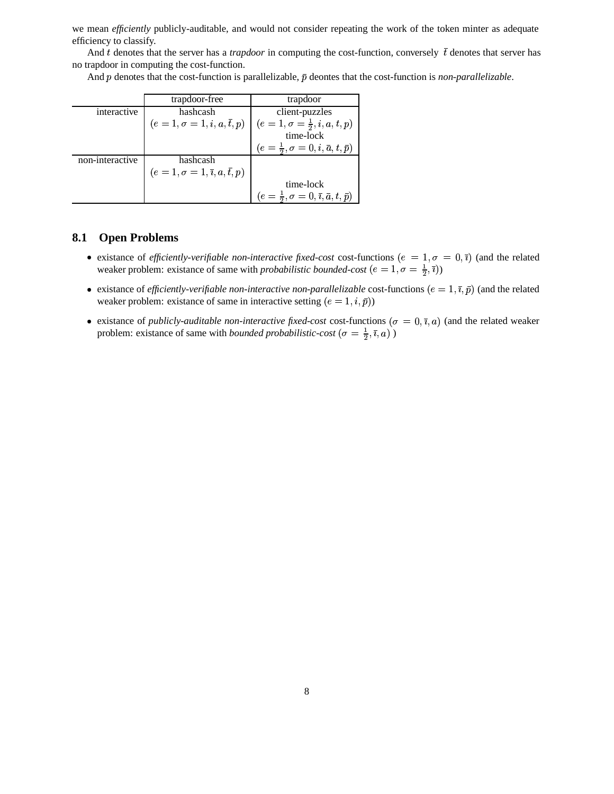we mean *efficiently* publicly-auditable, and would not consider repeating the work of the token minter as adequate efficiency to classify.

And t denotes that the server has a *trapdoor* in computing the cost-function, conversely  $\bar{t}$  denotes that server has no trapdoor in computing the cost-function.

And  $p$  denotes that the cost-function is parallelizable,  $\bar{p}$  deontes that the cost-function is *non-parallelizable*.

|                 | trapdoor-free                                            | trapdoor                                                           |
|-----------------|----------------------------------------------------------|--------------------------------------------------------------------|
| interactive     | hashcash                                                 | client-puzzles                                                     |
|                 | $(e=1,\sigma=1,i,a,\bar{t},p)$                           | $(e = 1, \sigma = \frac{1}{2}, i, a, t, p)$                        |
|                 |                                                          | time-lock                                                          |
|                 |                                                          | $(e = \frac{1}{2}, \sigma = 0, i, \bar{a}, t, \bar{p})$            |
| non-interactive | hashcash                                                 |                                                                    |
|                 | $(e=1,\sigma=1,\overline{\imath},a,\overline{\imath},p)$ |                                                                    |
|                 |                                                          | time-lock                                                          |
|                 |                                                          | $(e = \frac{1}{2}, \sigma = 0, \bar{\imath}, \bar{a}, t, \bar{p})$ |

#### **8.1 Open Problems**

- existance of *efficiently-verifiable non-interactive fixed-cost* cost-functions  $(e = 1, \sigma = 0, \bar{\imath})$  (and the related weaker problem: existance of same with *probabilistic bounded-cost*  $(e = 1, \sigma = \frac{1}{2}, \overline{i})$
- existance of *efficiently-verifiable non-interactive non-parallelizable* cost-functions  $(e = 1, \bar{\imath}, \bar{p})$  (and the related weaker problem: existance of same in interactive setting  $(e = 1, i, \bar{p})$
- existance of *publicly-auditable non-interactive fixed-cost* cost-functions ( $\sigma = 0, \bar{\imath}, a$ ) (and the related weaker problem: existance of same with *bounded probabilistic-cost*  $(\sigma = \frac{1}{2}, \bar{\imath}, a)$ )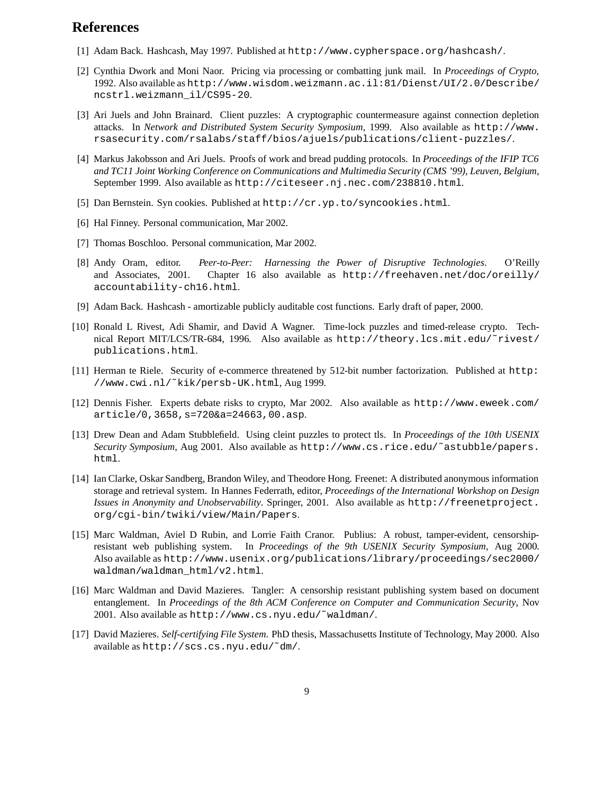### **References**

- [1] Adam Back. Hashcash, May 1997. Published at http://www.cypherspace.org/hashcash/.
- [2] Cynthia Dwork and Moni Naor. Pricing via processing or combatting junk mail. In *Proceedings of Crypto*, 1992. Also available as http://www.wisdom.weizmann.ac.il:81/Dienst/UI/2.0/Describe/ ncstrl.weizmann\_il/CS95-20.
- [3] Ari Juels and John Brainard. Client puzzles: A cryptographic countermeasure against connection depletion attacks. In *Network and Distributed System Security Symposium*, 1999. Also available as http://www. rsasecurity.com/rsalabs/staff/bios/ajuels/publications/client-puzzles/.
- [4] Markus Jakobsson and Ari Juels. Proofs of work and bread pudding protocols. In *Proceedings of the IFIP TC6 and TC11 Joint Working Conference on Communications and Multimedia Security (CMS '99), Leuven, Belgium*, September 1999. Also available as http://citeseer.nj.nec.com/238810.html.
- [5] Dan Bernstein. Syn cookies. Published at http://cr.yp.to/syncookies.html.
- [6] Hal Finney. Personal communication, Mar 2002.
- [7] Thomas Boschloo. Personal communication, Mar 2002.
- [8] Andy Oram, editor. *Peer-to-Peer: Harnessing the Power of Disruptive Technologies*. O'Reilly and Associates, 2001. Chapter 16 also available as http://freehaven.net/doc/oreilly/ accountability-ch16.html.
- [9] Adam Back. Hashcash amortizable publicly auditable cost functions. Early draft of paper, 2000.
- [10] Ronald L Rivest, Adi Shamir, and David A Wagner. Time-lock puzzles and timed-release crypto. Technical Report MIT/LCS/TR-684, 1996. Also available as http://theory.lcs.mit.edu/˜rivest/ publications.html.
- [11] Herman te Riele. Security of e-commerce threatened by 512-bit number factorization. Published at http: //www.cwi.nl/˜kik/persb-UK.html, Aug 1999.
- [12] Dennis Fisher. Experts debate risks to crypto, Mar 2002. Also available as http://www.eweek.com/ article/0,3658,s=720&a=24663,00.asp.
- [13] Drew Dean and Adam Stubblefield. Using cleint puzzles to protect tls. In *Proceedings of the 10th USENIX Security Symposium*, Aug 2001. Also available as http://www.cs.rice.edu/˜astubble/papers. html.
- [14] Ian Clarke, Oskar Sandberg, Brandon Wiley, and Theodore Hong. Freenet: A distributed anonymous information storage and retrieval system. In Hannes Federrath, editor, *Proceedings of the International Workshop on Design Issues in Anonymity and Unobservability*. Springer, 2001. Also available as http://freenetproject. org/cgi-bin/twiki/view/Main/Papers.
- [15] Marc Waldman, Aviel D Rubin, and Lorrie Faith Cranor. Publius: A robust, tamper-evident, censorshipresistant web publishing system. In *Proceedings of the 9th USENIX Security Symposium*, Aug 2000. Also available as http://www.usenix.org/publications/library/proceedings/sec2000/ waldman/waldman\_html/v2.html.
- [16] Marc Waldman and David Mazieres. Tangler: A censorship resistant publishing system based on document entanglement. In *Proceedings of the 8th ACM Conference on Computer and Communication Security*, Nov 2001. Also available as http://www.cs.nyu.edu/˜waldman/.
- [17] David Mazieres. *Self-certifying File System*. PhD thesis, Massachusetts Institute of Technology, May 2000. Also available as http://scs.cs.nyu.edu/˜dm/.